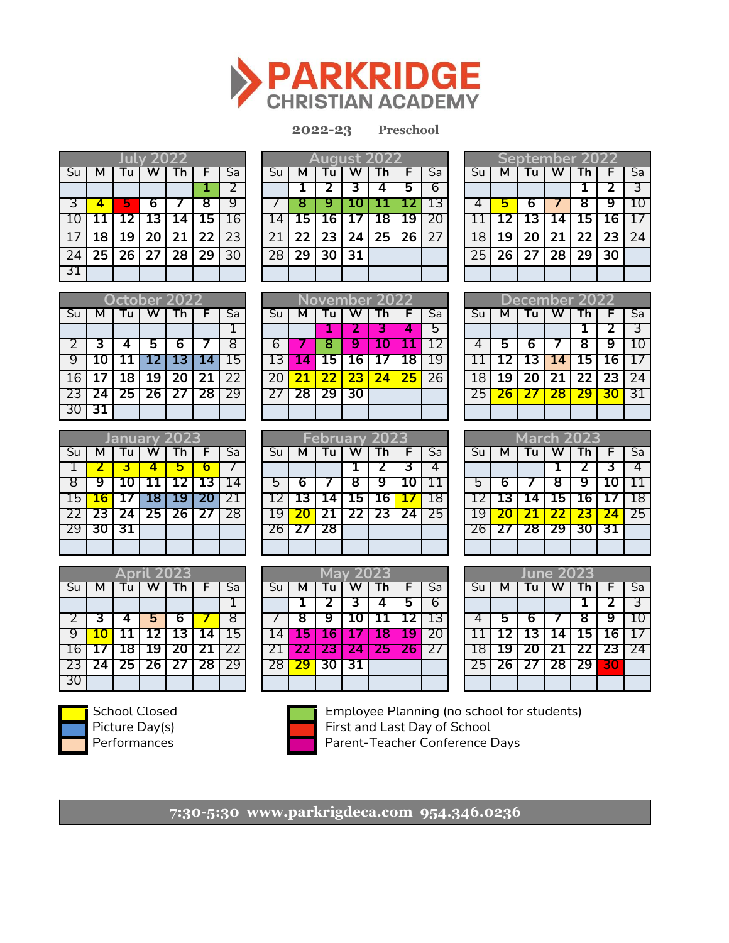

**2022-23 2022-23 K-8th** 

**Preschool**

|    |    |          | Julv 202 |    |           |      |
|----|----|----------|----------|----|-----------|------|
| Su | м  | Γu       |          |    |           | Sa   |
|    |    |          |          |    |           |      |
| उ  | 4  |          | 6        |    | 8         | q    |
| 10 | 11 |          | 12 13    | 14 | <b>15</b> | 16   |
| 17 | 18 | 19       | 20       | 21 | 22        | l 23 |
| 24 |    | 25 26 27 |          | 28 | 29        | 30   |
| 31 |    |          |          |    |           |      |

|                 |                 |    |          |        |     |  | <b>August 2</b> |       |                |  |                   |    |      |                 | September 2 <u>022</u> |                   |          |                          |
|-----------------|-----------------|----|----------|--------|-----|--|-----------------|-------|----------------|--|-------------------|----|------|-----------------|------------------------|-------------------|----------|--------------------------|
| Su              |                 |    |          |        | Sa  |  |                 |       |                |  |                   | Sa |      |                 |                        |                   |          | $\overline{\mathsf{Sa}}$ |
|                 |                 |    |          |        |     |  |                 |       |                |  |                   |    |      |                 |                        |                   |          |                          |
|                 |                 |    |          |        |     |  |                 |       |                |  |                   |    |      |                 |                        |                   |          | 10                       |
| 10              |                 |    | 13 14    | - 15 ⊫ |     |  | כב              | $-16$ |                |  | 17   18   19   20 |    |      |                 | <b>131</b>             | 14   15   16   17 |          |                          |
| 17              | 18 <sup>1</sup> | 19 | 20 21    | 22     | 231 |  |                 |       | 23 24 25 26 27 |  |                   |    | 18 l | 19              | 20                     |                   | 22 23 24 |                          |
| $\overline{24}$ | 251             |    | 26 27 28 | 29     | 30  |  | 29 <sub>1</sub> |       | 30 31          |  |                   |    | 25   | 26 <sub>1</sub> | 27                     | 28 <sub>1</sub>   | 29 30    |                          |
| 31              |                 |    |          |        |     |  |                 |       |                |  |                   |    |      |                 |                        |                   |          |                          |

|                 |    |   | september 2022              |   |                          |
|-----------------|----|---|-----------------------------|---|--------------------------|
| $\overline{Su}$ |    |   |                             |   | $\overline{\mathsf{Sa}}$ |
|                 |    |   |                             | 2 | $\ddot{\phantom{1}}$     |
|                 | 5  | 6 | 8                           | 9 |                          |
|                 |    |   | 12   13   14   15   16   17 |   |                          |
| 18              | 19 |   | 20 21 22 23 24              |   |                          |
| 25              |    |   | 26 27 28 29 30              |   |                          |
|                 |    |   |                             |   |                          |

|                |                 |    |         | <b>October 2022</b> |           |    |
|----------------|-----------------|----|---------|---------------------|-----------|----|
| Su             | м               | Tu |         | Гh                  | F.        | Sa |
|                |                 |    |         |                     |           |    |
| $\overline{2}$ | 3               | 4  | 5       | 6                   |           | R  |
| q              | Ί0              | 11 | 12   13 |                     | <b>14</b> | 15 |
| 16             | 17 <sup>2</sup> | 18 | 19 20   |                     | 21        | 22 |
| -23            | $\overline{24}$ |    |         | 25 26 27 28 29      |           |    |
| <sup>30</sup>  | 31              |    |         |                     |           |    |

|     |   |          |     |    |            |                          | ovember 202 |  |   |     |    |    |    |    |    |    |    |             |     |    |     |
|-----|---|----------|-----|----|------------|--------------------------|-------------|--|---|-----|----|----|----|----|----|----|----|-------------|-----|----|-----|
|     |   | October. |     |    |            |                          |             |  |   |     |    |    |    |    |    |    |    | lecember 20 |     |    |     |
| Su  | м |          |     |    |            | $\overline{\mathsf{Sa}}$ |             |  | м |     |    |    |    | Sa |    |    |    |             |     |    | Sa  |
|     |   |          |     |    |            |                          |             |  |   |     |    |    |    | ט  |    |    |    |             |     |    |     |
|     |   |          |     |    |            |                          |             |  |   |     |    |    |    |    |    | s  |    |             |     |    | 10  |
| 9   |   |          |     |    |            | 15.                      |             |  | Д | כב. |    |    | .8 | 19 |    |    |    | .4          | ∵כ⊾ | 16 | 17  |
| 16  |   | .8       | 19  | 20 |            | 22                       |             |  |   | 22  | 23 | 24 | 25 | 26 | 18 | 19 | 20 |             | 22  | 23 | 24  |
| 23. |   | נ:       | ∠6∶ |    | <u>28 </u> | 29                       |             |  |   |     |    |    |    |    |    |    |    |             |     |    | -31 |
| 30  |   |          |     |    |            |                          |             |  |   |     |    |    |    |    |    |    |    |             |     |    |     |

|     | 30 I 31 |                     |     |     |   |    |    |   |    |               |  |    |    |   |        |    |    |     |
|-----|---------|---------------------|-----|-----|---|----|----|---|----|---------------|--|----|----|---|--------|----|----|-----|
|     |         |                     |     |     |   |    |    |   |    |               |  |    |    |   |        |    |    |     |
|     |         | <b>January 2023</b> |     |     |   |    |    |   |    | February 2023 |  |    |    |   | March. |    |    |     |
| Su  | м       | u                   |     | I n |   | Sa |    | м | u  |               |  | Sa |    | м | u      |    |    | Sa  |
|     |         |                     |     | ь   | 6 |    |    |   |    |               |  |    |    |   |        |    |    | 4   |
| 8   |         |                     |     |     |   |    | ט  |   |    |               |  |    | רי |   |        |    |    | 11  |
| 15  |         |                     |     | э   |   |    |    |   |    | .ס            |  | 18 |    |   |        | ιo |    | 18  |
| 22  |         |                     | ב'. |     |   | 28 |    |   |    |               |  | 25 |    |   |        |    |    | -25 |
| 29. |         |                     |     |     |   |    | ۷b |   | 28 |               |  |    |    |   | 26     |    | 31 |     |
|     |         |                     |     |     |   |    |    |   |    |               |  |    |    |   |        |    |    |     |

|     |    |    | pril 2023. |                |              |                          |  |     |            | <b>May 2023</b> |            |    |    |    |     | <b>Tune 20.</b> |      |    |     |
|-----|----|----|------------|----------------|--------------|--------------------------|--|-----|------------|-----------------|------------|----|----|----|-----|-----------------|------|----|-----|
| Su  | м  |    |            |                |              | $\overline{\mathsf{Sa}}$ |  | м   |            |                 |            | Sa |    | м  |     |                 |      |    | Sa  |
|     |    |    |            |                |              |                          |  |     |            |                 | э          | b  |    |    |     |                 |      |    | 3   |
|     |    |    | э          | o              |              | 8                        |  | Ο   |            |                 |            | 13 |    | ט  |     |                 |      |    | 10  |
| 9   |    |    |            | IJ             | $14^{\circ}$ | 15.                      |  | 157 | <b>167</b> |                 | <b>197</b> | 20 |    |    | IJ  | 14              | 15 I | 16 | -17 |
| 16. |    |    | -9         |                |              |                          |  |     |            |                 |            |    |    |    |     |                 |      |    | -24 |
| 23  | 44 | 25 | 26 I       | $\mathcal{L}I$ | 28           | 29                       |  | 29  | 30         |                 |            |    | 25 | 26 | ر ے | 28              | 29   | 30 |     |
| 30  |    |    |            |                |              |                          |  |     |            |                 |            |    |    |    |     |                 |      |    |     |

|   |    | <b>February 2023</b> |   |                   |    |    |    |                 |            | <b>March 2023</b> |  |
|---|----|----------------------|---|-------------------|----|----|----|-----------------|------------|-------------------|--|
|   | u  |                      |   |                   | Sa | Su |    |                 |            |                   |  |
|   |    |                      |   |                   |    |    |    |                 |            |                   |  |
|   |    |                      |   |                   |    |    |    |                 |            |                   |  |
| 3 |    |                      | 6 |                   | 18 |    |    |                 | LЬ         |                   |  |
|   |    |                      |   | 22   23   24   25 |    |    |    |                 |            |                   |  |
|   | 28 |                      |   |                   |    |    | 27 | 28 <sub>1</sub> | $\cdot$ 29 | 301               |  |
|   |    |                      |   |                   |    |    |    |                 |            |                   |  |

|    |    |              | June 2023    |                 |      |              |
|----|----|--------------|--------------|-----------------|------|--------------|
| Su | м  | Tu           |              |                 | F    | Sa           |
|    |    |              |              |                 | 2    | З            |
| 4  | 5  | 6            |              | 8               | 9    | 10           |
| 11 |    | 12   13   14 |              | $\overline{15}$ | 116  | $\mathbf{I}$ |
| 18 | 19 |              | $20 \mid 21$ | <b>722</b>      | T 23 | 24           |
| 25 | 26 | 27 28        |              | T 29            | وله  |              |
|    |    |              |              |                 |      |              |



30



School Closed **Employee Planning (no school for students)** Picture Day(s) First and Last Day of School Performances **Parent-Teacher Conference Days** 

**7:30-5:30 www.parkrigdeca.com 954.346.0236 8:30-3:00 www.parkridgeca.com 954.346.0236**